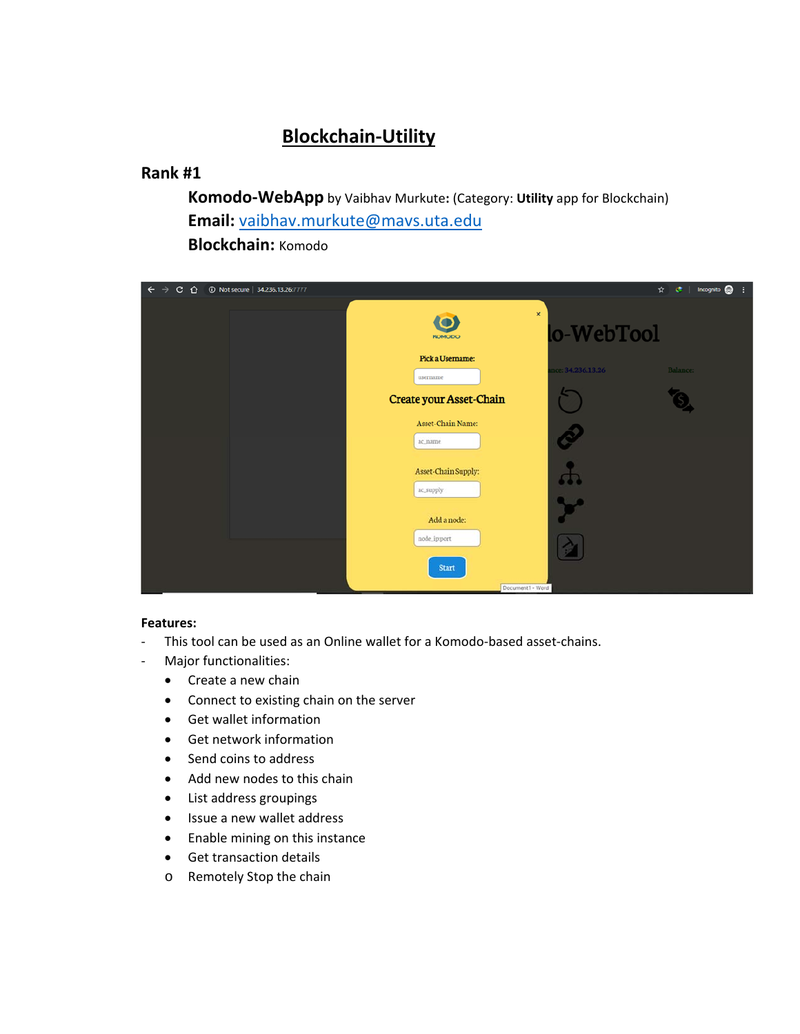# **Blockchain‐Utility**

## **Rank #1**

**Komodo‐WebApp** by Vaibhav Murkute**:** (Category: **Utility** app for Blockchain) **Email:** vaibhav.murkute@mavs.uta.edu **Blockchain:** Komodo

| $C$ $\Omega$<br>$\leftarrow$ $\rightarrow$ | 10 Not secure   34.236.13.26.7777 |                                            |                   | Incognito e<br>$\epsilon$<br>$\hat{R}$<br>÷ |
|--------------------------------------------|-----------------------------------|--------------------------------------------|-------------------|---------------------------------------------|
|                                            |                                   | ×<br>KOMODO                                | lo-WebTool        |                                             |
|                                            |                                   | Pick a Username:                           | nce: 34.236.13.26 | Balance:                                    |
|                                            |                                   | username<br><b>Create your Asset-Chain</b> |                   |                                             |
|                                            |                                   | <b>Asset-Chain Name:</b><br>ac name        | Š                 |                                             |
|                                            |                                   | Asset-Chain Supply:                        | <b>SUP</b>        |                                             |
|                                            |                                   | ac_supply<br>Add a node:                   |                   |                                             |
|                                            |                                   | node_ip:port                               |                   |                                             |
|                                            |                                   | <b>Start</b><br>Document1 - Word           |                   |                                             |

- ‐ This tool can be used as an Online wallet for a Komodo‐based asset‐chains.
- ‐ Major functionalities:
	- Create a new chain
	- Connect to existing chain on the server
	- Get wallet information
	- Get network information
	- Send coins to address
	- Add new nodes to this chain
	- List address groupings
	- Issue a new wallet address
	- Enable mining on this instance
	- **•** Get transaction details
	- o Remotely Stop the chain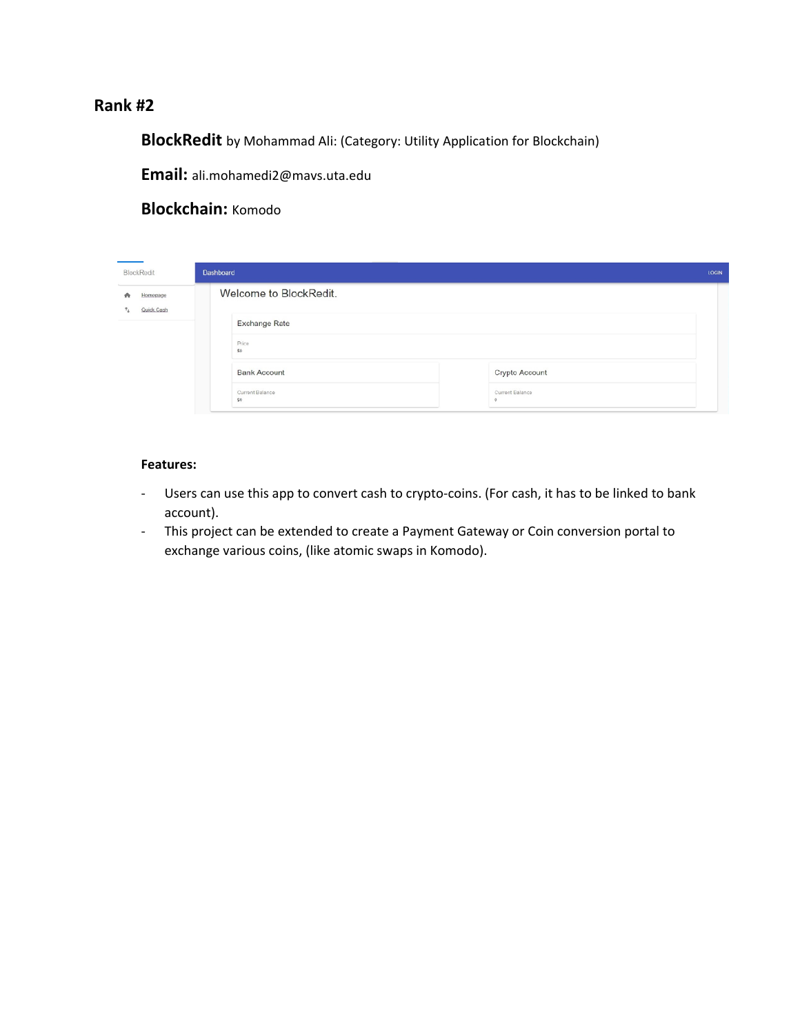**BlockRedit** by Mohammad Ali: (Category: Utility Application for Blockchain)

**Email:** ali.mohamedi2@mavs.uta.edu

#### **Blockchain:** Komodo

| BlockRedit                                    | Dashboard<br><b>LOGIN</b>                      |  |  |
|-----------------------------------------------|------------------------------------------------|--|--|
| Homepage<br>٠<br>Quick Cash<br>$\tau_{\perp}$ | Welcome to BlockRedit.                         |  |  |
|                                               | <b>Exchange Rate</b>                           |  |  |
|                                               | Price<br>SO <sub>1</sub>                       |  |  |
|                                               | Crypto Account<br><b>Bank Account</b>          |  |  |
|                                               | Current Balance<br>Current Balance<br>SO.<br>Ò |  |  |

- ‐ Users can use this app to convert cash to crypto‐coins. (For cash, it has to be linked to bank account).
- ‐ This project can be extended to create a Payment Gateway or Coin conversion portal to exchange various coins, (like atomic swaps in Komodo).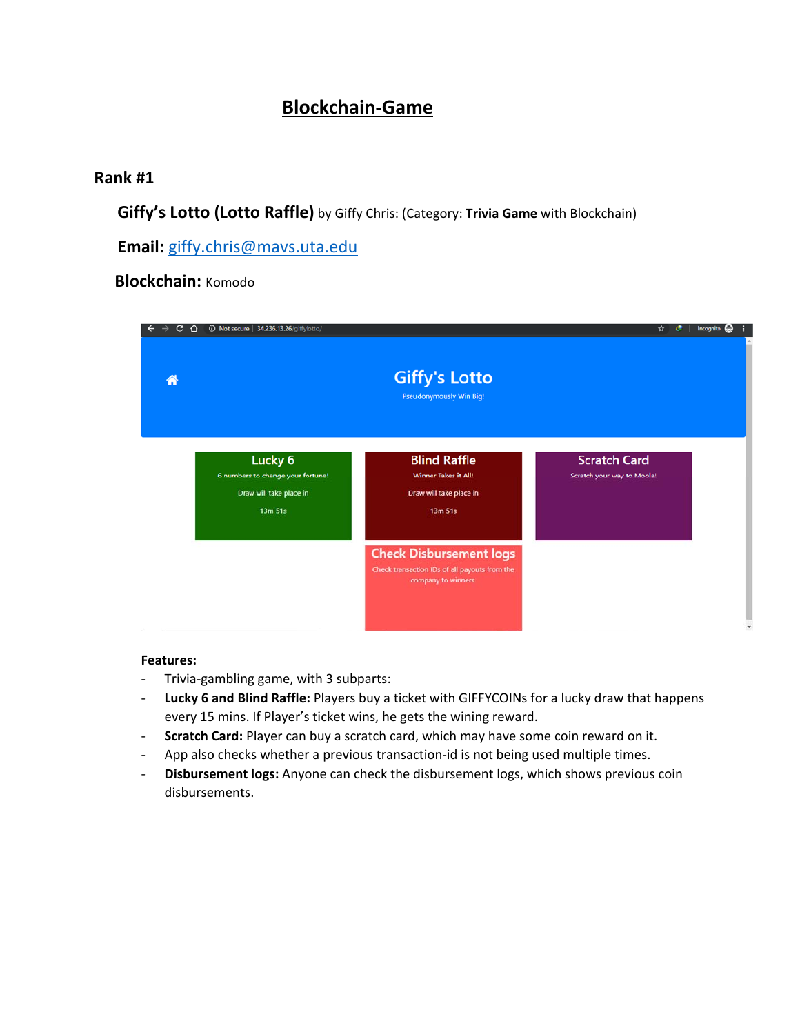# **Blockchain‐Game**

## **Rank #1**

**Giffy's Lotto (Lotto Raffle)** by Giffy Chris: (Category: **Trivia Game** with Blockchain)

**Email:** giffy.chris@mavs.uta.edu

## **Blockchain:** Komodo

| c.<br>⇧ | <b>1</b> Not secure   34.236.13.26/giffylotto/                                                |                                                                                                        | ☆<br>$\mathbf{C}$<br>Incognito                    |  |
|---------|-----------------------------------------------------------------------------------------------|--------------------------------------------------------------------------------------------------------|---------------------------------------------------|--|
| Ж       |                                                                                               | <b>Giffy's Lotto</b><br><b>Pseudonymously Win Big!</b>                                                 |                                                   |  |
|         | Lucky <sub>6</sub><br>6 numbers to change your fortune!<br>Draw will take place in<br>13m 51s | <b>Blind Raffle</b><br><b>Winner Takes it All!</b><br>Draw will take place in<br>13m 51s               | <b>Scratch Card</b><br>Scratch your way to Moola! |  |
|         |                                                                                               | <b>Check Disbursement logs</b><br>Check transaction IDs of all payouts from the<br>company to winners. |                                                   |  |

- ‐ Trivia‐gambling game, with 3 subparts:
- ‐ **Lucky 6 and Blind Raffle:** Players buy a ticket with GIFFYCOINs for a lucky draw that happens every 15 mins. If Player's ticket wins, he gets the wining reward.
- ‐ **Scratch Card:** Player can buy a scratch card, which may have some coin reward on it.
- ‐ App also checks whether a previous transaction‐id is not being used multiple times.
- ‐ **Disbursement logs:** Anyone can check the disbursement logs, which shows previous coin disbursements.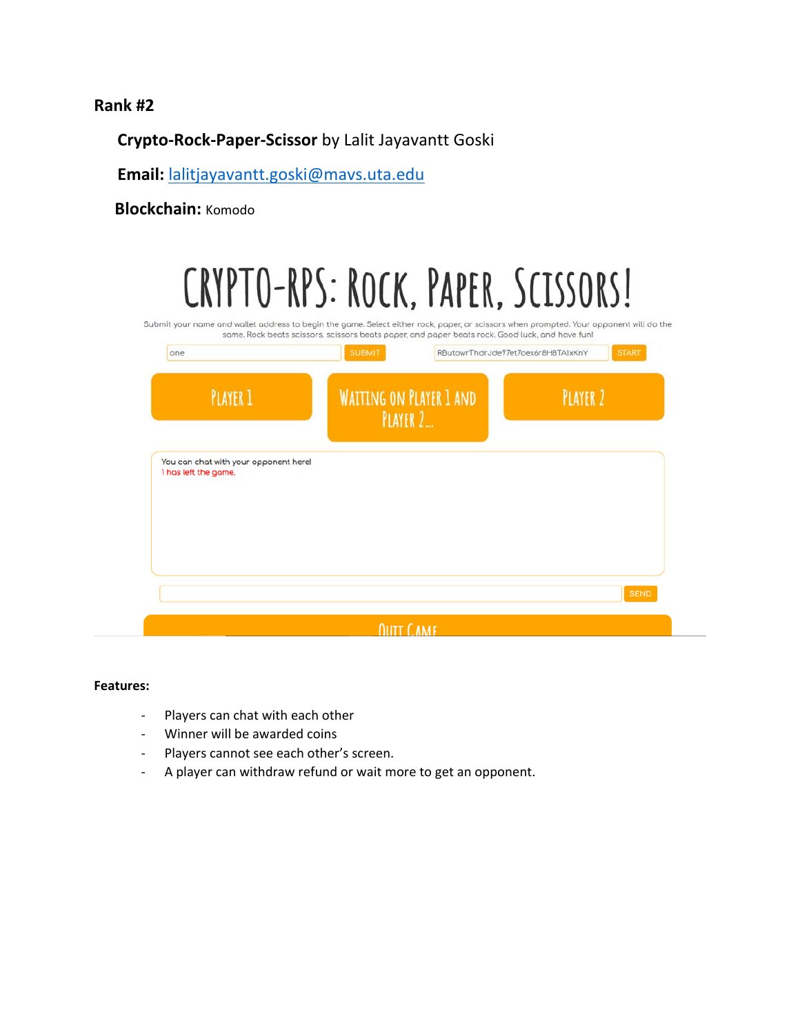## **Crypto‐Rock‐Paper‐Scissor** by Lalit Jayavantt Goski

**Email:** lalitjayavantt.goski@mavs.uta.edu

 **Blockchain:** Komodo

| CRYPTO-RPS: ROCK, PAPER, SCISSORS!<br>Submit your name and wallet address to begin the game. Select either rock, paper, or scissors when prompted. Your opponent will do the | same. Rock beats scissors, scissors beats paper, and paper beats rock. Good luck, and have funl |                                    |                                     |
|------------------------------------------------------------------------------------------------------------------------------------------------------------------------------|-------------------------------------------------------------------------------------------------|------------------------------------|-------------------------------------|
| one<br><b>PLAYER 1</b>                                                                                                                                                       | <b>SUBMIT</b><br><b>WAITING ON PLAYER 1 AND</b><br>PLAYER 2.                                    | RButowrThdrJde97et7oex6r8H8TA1xKnY | <b>START</b><br>PLAYER <sub>2</sub> |
| You can chat with your opponent here!<br>1 has left the game.                                                                                                                |                                                                                                 |                                    |                                     |
|                                                                                                                                                                              |                                                                                                 |                                    |                                     |
|                                                                                                                                                                              |                                                                                                 |                                    | <b>SEND</b>                         |
|                                                                                                                                                                              | <b><i><u>DIITT CAME</u></i></b>                                                                 |                                    |                                     |

- ‐ Players can chat with each other
- ‐ Winner will be awarded coins
- ‐ Players cannot see each other's screen.
- ‐ A player can withdraw refund or wait more to get an opponent.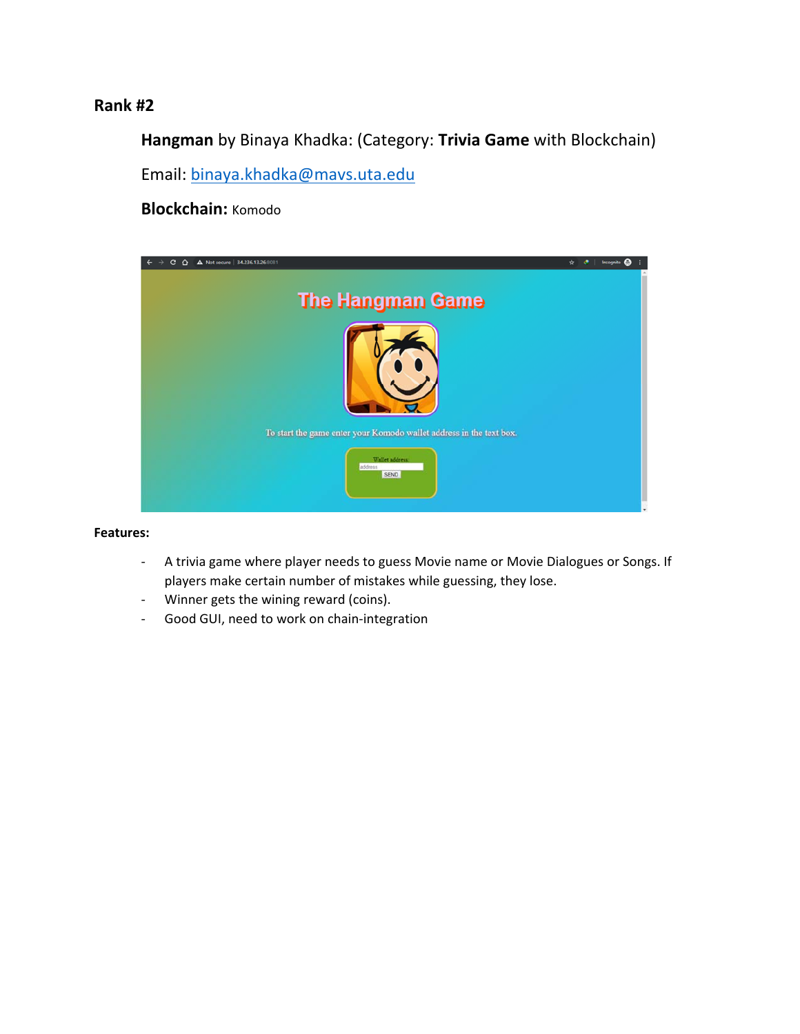**Hangman** by Binaya Khadka: (Category: **Trivia Game** with Blockchain) Email: binaya.khadka@mavs.uta.edu

**Blockchain:** Komodo



- ‐ A trivia game where player needs to guess Movie name or Movie Dialogues or Songs. If players make certain number of mistakes while guessing, they lose.
- ‐ Winner gets the wining reward (coins).
- ‐ Good GUI, need to work on chain‐integration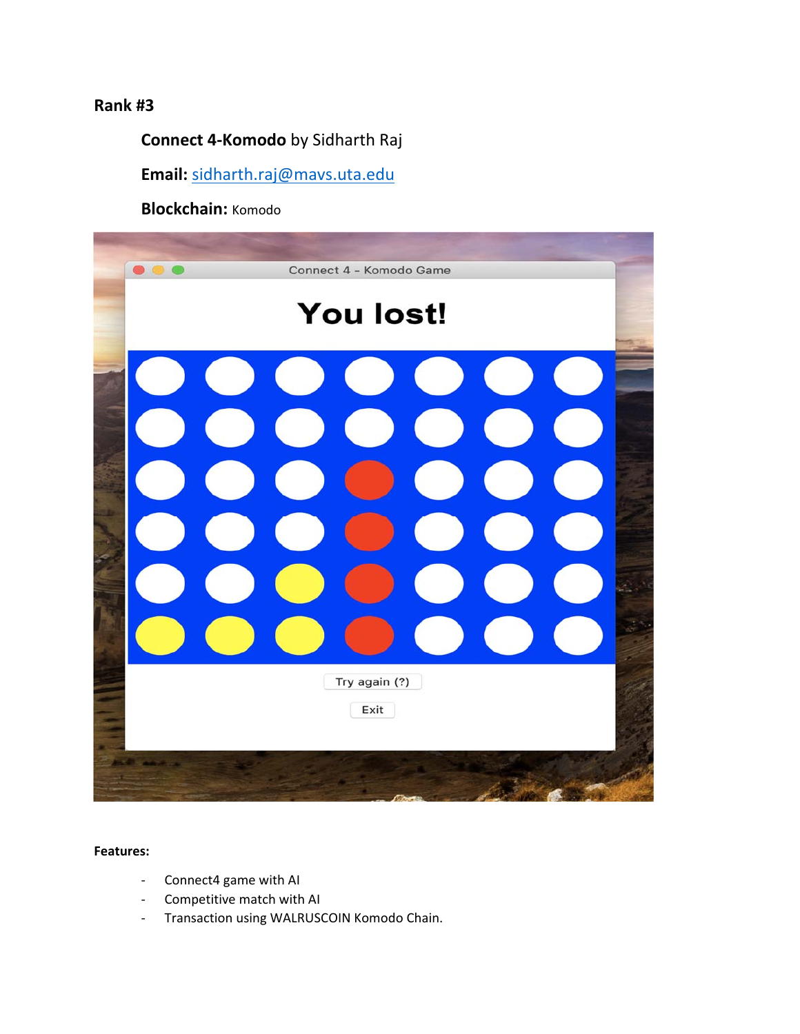## **Connect 4‐Komodo** by Sidharth Raj

**Email:** sidharth.raj@mavs.uta.edu

**Blockchain:** Komodo



- ‐ Connect4 game with AI
- ‐ Competitive match with AI
- ‐ Transaction using WALRUSCOIN Komodo Chain.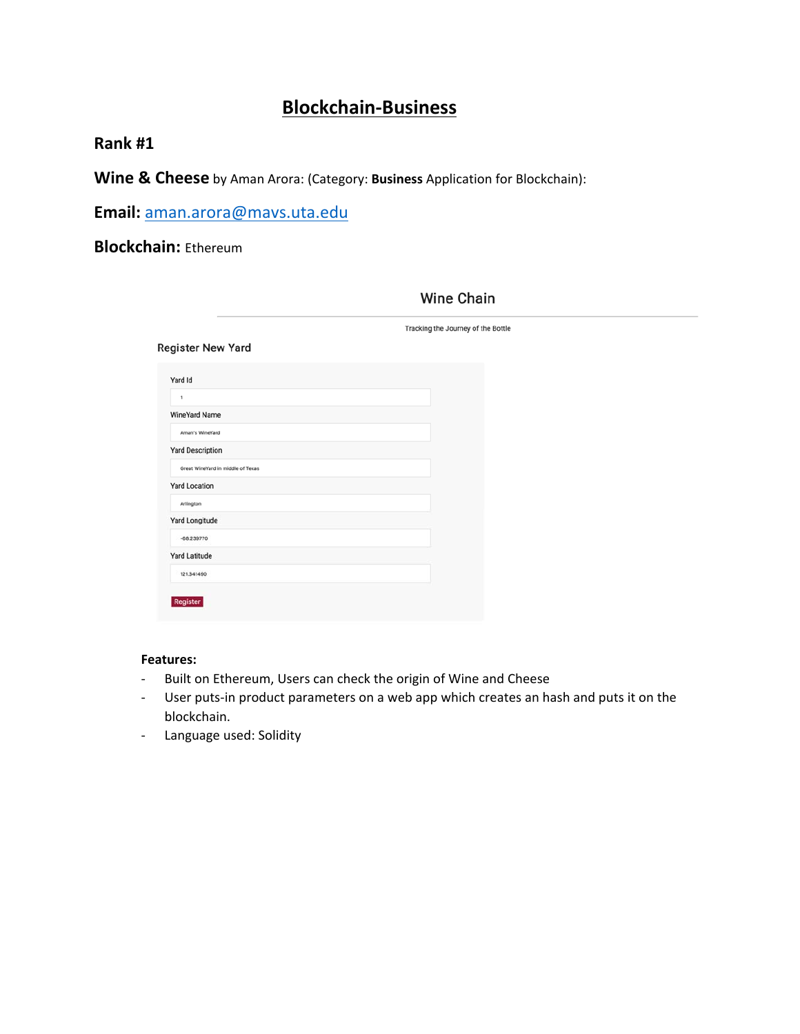## **Blockchain‐Business**

## **Rank #1**

**Wine & Cheese** by Aman Arora: (Category: **Business** Application for Blockchain):

**Email:** aman.arora@mavs.uta.edu

## **Blockchain:** Ethereum

|                                   | Tracking the Journey of the Bottle |
|-----------------------------------|------------------------------------|
| <b>Register New Yard</b>          |                                    |
| Yard Id                           |                                    |
| 1                                 |                                    |
| <b>WineYard Name</b>              |                                    |
| Aman's WineYard                   |                                    |
| <b>Yard Description</b>           |                                    |
| Great WineYard in middle of Texas |                                    |
| <b>Yard Location</b>              |                                    |
| Arlington                         |                                    |
| Yard Longitude                    |                                    |
| $-68.239770$                      |                                    |
| <b>Yard Latitude</b>              |                                    |
| 121.341490                        |                                    |

### **Wine Chain**

- ‐ Built on Ethereum, Users can check the origin of Wine and Cheese
- ‐ User puts‐in product parameters on a web app which creates an hash and puts it on the blockchain.
- ‐ Language used: Solidity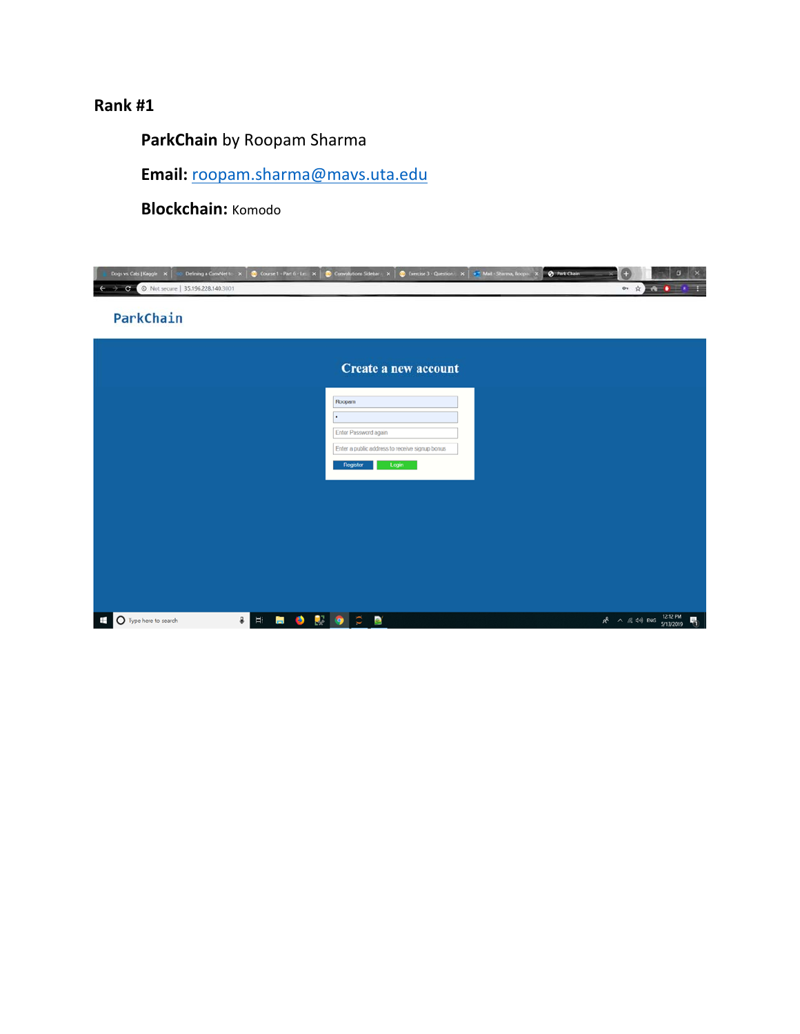**ParkChain** by Roopam Sharma

**Email:** roopam.sharma@mavs.uta.edu

**Blockchain:** Komodo

| Dogs vs. Cats   Kaggie X  <br>C © Not secure   35.196.228.140.3001 |                                          | co Defining a ConvViet to X   © Course 1 - Part 6 - Le X   © Convolutions Sidebar   X   © Exercise 3 - Question   X   6 Mail - Sharma, Roopa   X   ⊙ Park Chain | $\boldsymbol{\times}$<br>в<br>$\mathbf{O} = \frac{1}{\mathbf{R}} \sum_{i=1}^{n} \mathbf{E} \mathbf{A}^{T} \mathbf{A}^{T} \mathbf{B}^{T} \mathbf{A}^{T} \mathbf{A}^{T} \mathbf{A}^{T} \mathbf{A}^{T} \mathbf{A}^{T} \mathbf{A}^{T} \mathbf{A}^{T} \mathbf{A}^{T} \mathbf{A}^{T} \mathbf{A}^{T} \mathbf{A}^{T} \mathbf{A}^{T} \mathbf{A}^{T} \mathbf{A}^{T} \mathbf{A}^{T} \mathbf{A}^{T} \mathbf{A}^{T} \mathbf{A}$ |
|--------------------------------------------------------------------|------------------------------------------|-----------------------------------------------------------------------------------------------------------------------------------------------------------------|--------------------------------------------------------------------------------------------------------------------------------------------------------------------------------------------------------------------------------------------------------------------------------------------------------------------------------------------------------------------------------------------------------------------|
| ParkChain                                                          |                                          |                                                                                                                                                                 |                                                                                                                                                                                                                                                                                                                                                                                                                    |
|                                                                    |                                          | Create a new account                                                                                                                                            |                                                                                                                                                                                                                                                                                                                                                                                                                    |
|                                                                    |                                          | Roopam                                                                                                                                                          |                                                                                                                                                                                                                                                                                                                                                                                                                    |
|                                                                    |                                          | Enter Password again<br>Enter a public address to receive signup bonus<br>Register<br>Login                                                                     |                                                                                                                                                                                                                                                                                                                                                                                                                    |
|                                                                    |                                          |                                                                                                                                                                 |                                                                                                                                                                                                                                                                                                                                                                                                                    |
|                                                                    |                                          |                                                                                                                                                                 |                                                                                                                                                                                                                                                                                                                                                                                                                    |
|                                                                    |                                          |                                                                                                                                                                 |                                                                                                                                                                                                                                                                                                                                                                                                                    |
| O Type here to search<br>₩                                         | P.<br>g.<br>Ei.<br><b>B</b><br>$\bullet$ | $\circ$<br>$\mathbf{a}$<br>$\bullet$                                                                                                                            | $R^R$ $\land$ (2, 4) ENG $^{12.12 \text{ PM}}_{5/13/2019}$<br>勖                                                                                                                                                                                                                                                                                                                                                    |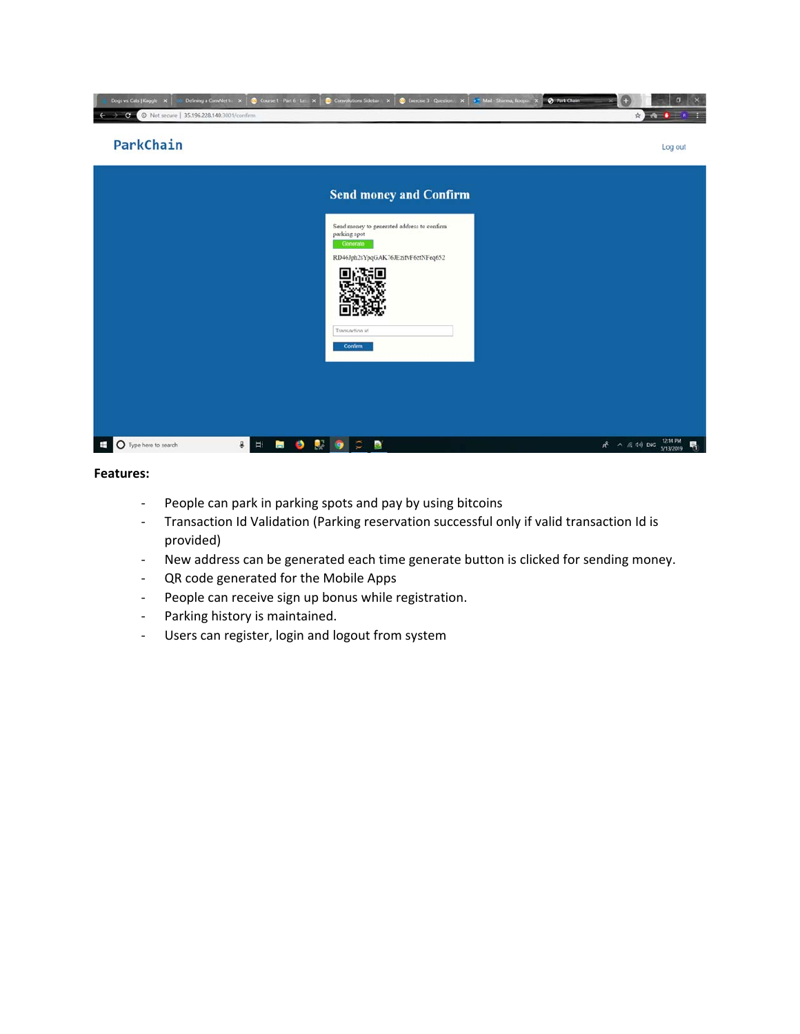

- ‐ People can park in parking spots and pay by using bitcoins
- ‐ Transaction Id Validation (Parking reservation successful only if valid transaction Id is provided)
- ‐ New address can be generated each time generate button is clicked for sending money.
- ‐ QR code generated for the Mobile Apps
- ‐ People can receive sign up bonus while registration.
- ‐ Parking history is maintained.
- ‐ Users can register, login and logout from system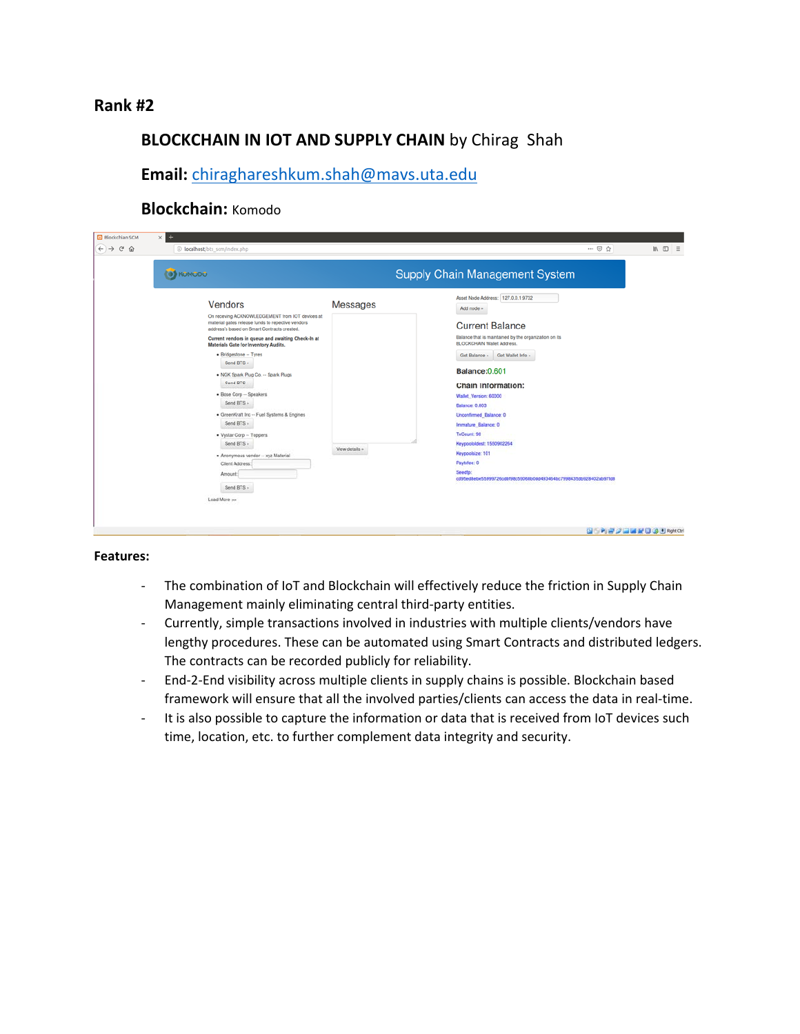## **BLOCKCHAIN IN IOT AND SUPPLY CHAIN** by Chirag Shah

**Email:** chiraghareshkum.shah@mavs.uta.edu

### **Blockchain:** Komodo

| O KOMODO |                                                                                                                                                     |                 | Supply Chain Management System                                                             |
|----------|-----------------------------------------------------------------------------------------------------------------------------------------------------|-----------------|--------------------------------------------------------------------------------------------|
|          | Vendors                                                                                                                                             | <b>Messages</b> | Asset Node Address: 127.0.0.1:9732<br>Add node »                                           |
|          | On receving ACKNOWLEDGEMENT from IOT devices at<br>material gates release funds to repective vendors<br>address's based on Smart Contracts created. |                 | <b>Current Balance</b>                                                                     |
|          | Current vendors in queue and awaiting Check-In at<br><b>Materials Gate for Inventory Audits.</b>                                                    |                 | Balance that is maintained by the organization on its<br><b>BLOCKCHAIN Wallet Address.</b> |
|          | · Bridgestone -- Tyres<br>Send BTS =                                                                                                                |                 | Get Balance = Get Wallet Info =                                                            |
|          | . NGK Spark Plug Co. -- Spark Plugs<br>Send BTS -                                                                                                   |                 | Balance: 0.601                                                                             |
|          | · Bose Corp -- Speakers<br>Send BTS =                                                                                                               |                 | Chain Information:<br>Wallet Version: 60000                                                |
|          | · GreenKraft Inc -- Fuel Systems & Engines                                                                                                          |                 | Balance: 0.803<br>Unconfirmed Balance: 0                                                   |
|          | Send BTS -<br>· Vystar Corp -- Toppers                                                                                                              |                 | Immature Balance: 0<br>TxCount: 98                                                         |
|          | Send BTS -<br>· Anonymous vendor -- xyz Material                                                                                                    | View details »  | Keypoololdest: 1550902264<br>Keypoolsize: 101                                              |
|          | Client Address:                                                                                                                                     |                 | Paytxlee: 0<br>Seedlo:                                                                     |
|          | Arnount:<br>Send BTS »                                                                                                                              |                 | cd95ed8ebe55999726cdbf98c59068b0dd493464bc7998435db928402ab97fd8                           |
|          | Load More >>                                                                                                                                        |                 |                                                                                            |

- ‐ The combination of IoT and Blockchain will effectively reduce the friction in Supply Chain Management mainly eliminating central third‐party entities.
- ‐ Currently, simple transactions involved in industries with multiple clients/vendors have lengthy procedures. These can be automated using Smart Contracts and distributed ledgers. The contracts can be recorded publicly for reliability.
- ‐ End‐2‐End visibility across multiple clients in supply chains is possible. Blockchain based framework will ensure that all the involved parties/clients can access the data in real‐time.
- ‐ It is also possible to capture the information or data that is received from IoT devices such time, location, etc. to further complement data integrity and security.